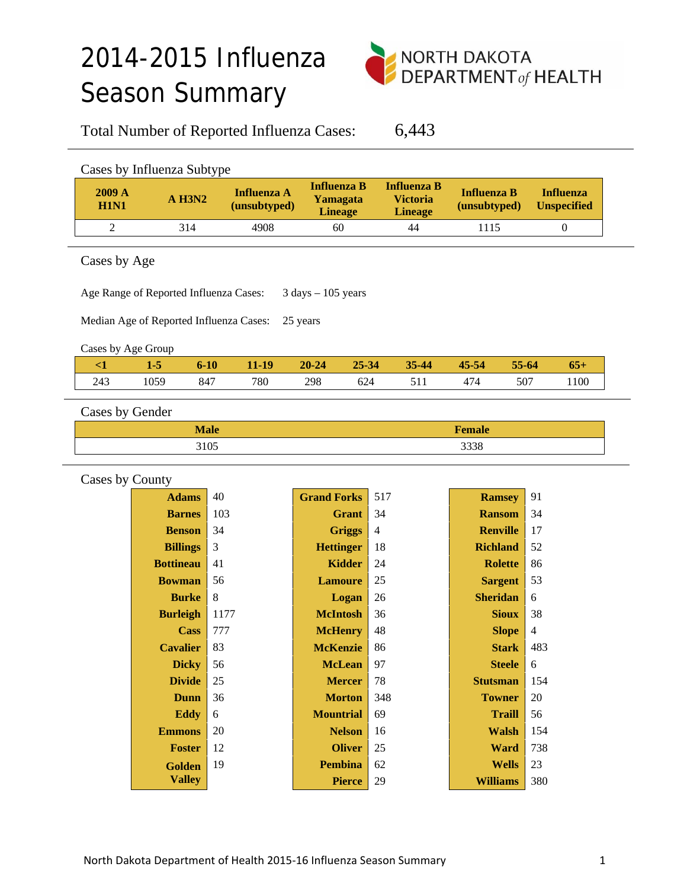# 2014-2015 Influenza Season Summary



Total Number of Reported Influenza Cases: 6,443

| Cases by Influenza Subtype |          |                                    |                                                  |                                                  |                                    |                                        |  |  |
|----------------------------|----------|------------------------------------|--------------------------------------------------|--------------------------------------------------|------------------------------------|----------------------------------------|--|--|
| 2009A<br><b>H1N1</b>       | $A$ H3N2 | <b>Influenza A</b><br>(unsubtyped) | <b>Influenza B</b><br>Yamagata<br><b>Lineage</b> | Influenza B<br><b>Victoria</b><br><b>Lineage</b> | <b>Influenza B</b><br>(unsubtyped) | <b>Influenza</b><br><b>Unspecified</b> |  |  |
|                            | 314      | 4908                               | 60                                               | 44                                               | 1115                               |                                        |  |  |

Cases by Age

Age Range of Reported Influenza Cases: 3 days - 105 years

Median Age of Reported Influenza Cases: 25 years

Cases by Age Group

|     | $1 - 5$ | $6 - 10$ | 11-19 | $20 - 24$ | $25 - 34$ | $35 - 44$ | 45-54 | 55-64 | $65+$ |
|-----|---------|----------|-------|-----------|-----------|-----------|-------|-------|-------|
| 243 | 1059    | 847      | 780   | 298       | 624       |           | 474   | 507   | 1100  |
|     |         |          |       |           |           |           |       |       |       |

Cases by Gender

| $M_0$ <sub>0</sub> | $E_{\alpha \mu \alpha}$ |
|--------------------|-------------------------|
| <b>IVIAIC</b>      | T Ciliait               |
| 3105               | 3338                    |

| Cases by County |                  |      |                    |                |                 |                          |  |  |
|-----------------|------------------|------|--------------------|----------------|-----------------|--------------------------|--|--|
|                 | <b>Adams</b>     | 40   | <b>Grand Forks</b> | 517            | <b>Ramsey</b>   | 91                       |  |  |
|                 | <b>Barnes</b>    | 103  | <b>Grant</b>       | 34             | <b>Ransom</b>   | 34                       |  |  |
|                 | <b>Benson</b>    | 34   | <b>Griggs</b>      | $\overline{4}$ | <b>Renville</b> | 17                       |  |  |
|                 | <b>Billings</b>  | 3    | <b>Hettinger</b>   | 18             | <b>Richland</b> | 52                       |  |  |
|                 | <b>Bottineau</b> | 41   | Kidder             | 24             | <b>Rolette</b>  | 86                       |  |  |
|                 | <b>Bowman</b>    | 56   | <b>Lamoure</b>     | 25             | <b>Sargent</b>  | 53                       |  |  |
|                 | <b>Burke</b>     | 8    | Logan              | 26             | <b>Sheridan</b> | 6                        |  |  |
|                 | <b>Burleigh</b>  | 1177 | <b>McIntosh</b>    | 36             | <b>Sioux</b>    | 38                       |  |  |
|                 | Cass             | 777  | <b>McHenry</b>     | 48             | <b>Slope</b>    | $\overline{\mathcal{L}}$ |  |  |
|                 | <b>Cavalier</b>  | 83   | <b>McKenzie</b>    | 86             | <b>Stark</b>    | 483                      |  |  |
|                 | <b>Dicky</b>     | 56   | <b>McLean</b>      | 97             | <b>Steele</b>   | 6                        |  |  |
|                 | <b>Divide</b>    | 25   | <b>Mercer</b>      | 78             | <b>Stutsman</b> | 154                      |  |  |
|                 | Dunn             | 36   | <b>Morton</b>      | 348            | <b>Towner</b>   | 20                       |  |  |
|                 | <b>Eddy</b>      | 6    | <b>Mountrial</b>   | 69             | <b>Traill</b>   | 56                       |  |  |
|                 | <b>Emmons</b>    | 20   | <b>Nelson</b>      | 16             | <b>Walsh</b>    | 154                      |  |  |
|                 | <b>Foster</b>    | 12   | <b>Oliver</b>      | 25             | <b>Ward</b>     | 738                      |  |  |
|                 | Golden           | 19   | <b>Pembina</b>     | 62             | <b>Wells</b>    | 23                       |  |  |
|                 | <b>Valley</b>    |      | <b>Pierce</b>      | 29             | <b>Williams</b> | 380                      |  |  |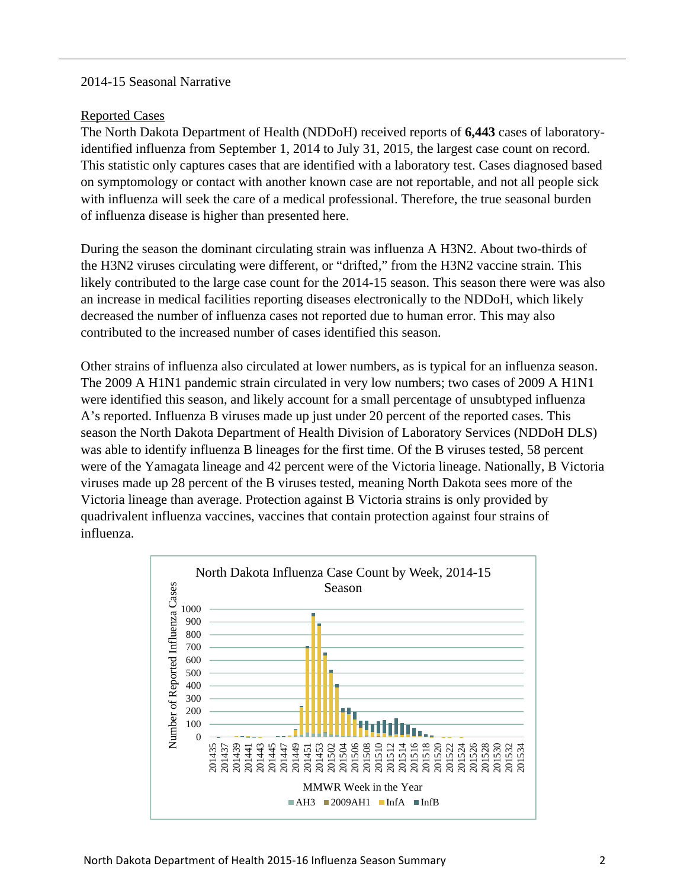#### 2014-15 Seasonal Narrative

#### Reported Cases

The North Dakota Department of Health (NDDoH) received reports of **6,443** cases of laboratoryidentified influenza from September 1, 2014 to July 31, 2015, the largest case count on record. This statistic only captures cases that are identified with a laboratory test. Cases diagnosed based on symptomology or contact with another known case are not reportable, and not all people sick with influenza will seek the care of a medical professional. Therefore, the true seasonal burden of influenza disease is higher than presented here.

During the season the dominant circulating strain was influenza A H3N2. About two-thirds of the H3N2 viruses circulating were different, or "drifted," from the H3N2 vaccine strain. This likely contributed to the large case count for the 2014-15 season. This season there were was also an increase in medical facilities reporting diseases electronically to the NDDoH, which likely decreased the number of influenza cases not reported due to human error. This may also contributed to the increased number of cases identified this season.

Other strains of influenza also circulated at lower numbers, as is typical for an influenza season. The 2009 A H1N1 pandemic strain circulated in very low numbers; two cases of 2009 A H1N1 were identified this season, and likely account for a small percentage of unsubtyped influenza A's reported. Influenza B viruses made up just under 20 percent of the reported cases. This season the North Dakota Department of Health Division of Laboratory Services (NDDoH DLS) was able to identify influenza B lineages for the first time. Of the B viruses tested, 58 percent were of the Yamagata lineage and 42 percent were of the Victoria lineage. Nationally, B Victoria viruses made up 28 percent of the B viruses tested, meaning North Dakota sees more of the Victoria lineage than average. Protection against B Victoria strains is only provided by quadrivalent influenza vaccines, vaccines that contain protection against four strains of influenza.

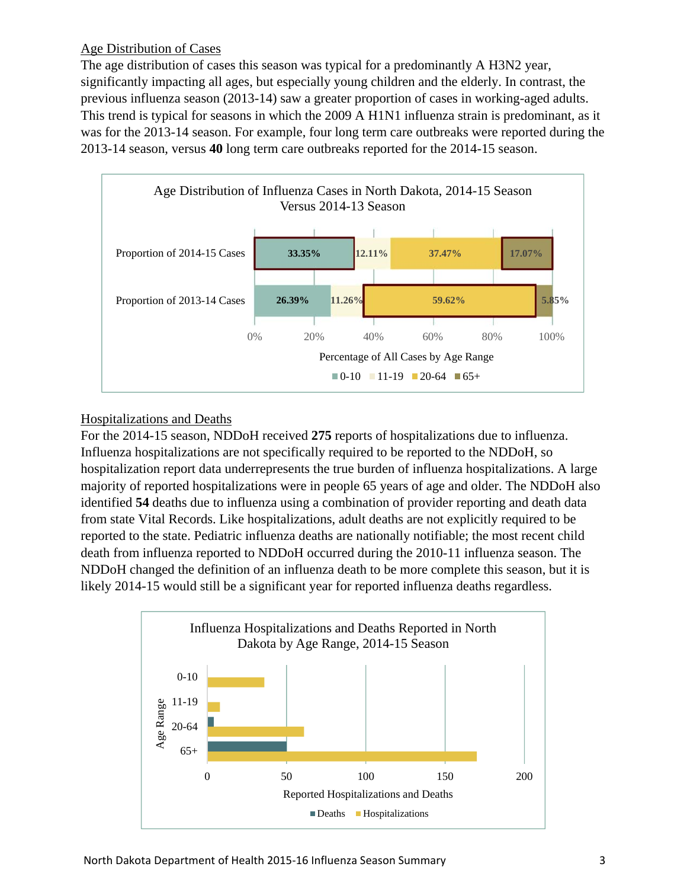# Age Distribution of Cases

The age distribution of cases this season was typical for a predominantly A H3N2 year, significantly impacting all ages, but especially young children and the elderly. In contrast, the previous influenza season (2013-14) saw a greater proportion of cases in working-aged adults. This trend is typical for seasons in which the 2009 A H1N1 influenza strain is predominant, as it was for the 2013-14 season. For example, four long term care outbreaks were reported during the 2013-14 season, versus **40** long term care outbreaks reported for the 2014-15 season.



# Hospitalizations and Deaths

For the 2014-15 season, NDDoH received **275** reports of hospitalizations due to influenza. Influenza hospitalizations are not specifically required to be reported to the NDDoH, so hospitalization report data underrepresents the true burden of influenza hospitalizations. A large majority of reported hospitalizations were in people 65 years of age and older. The NDDoH also identified **54** deaths due to influenza using a combination of provider reporting and death data from state Vital Records. Like hospitalizations, adult deaths are not explicitly required to be reported to the state. Pediatric influenza deaths are nationally notifiable; the most recent child death from influenza reported to NDDoH occurred during the 2010-11 influenza season. The NDDoH changed the definition of an influenza death to be more complete this season, but it is likely 2014-15 would still be a significant year for reported influenza deaths regardless.

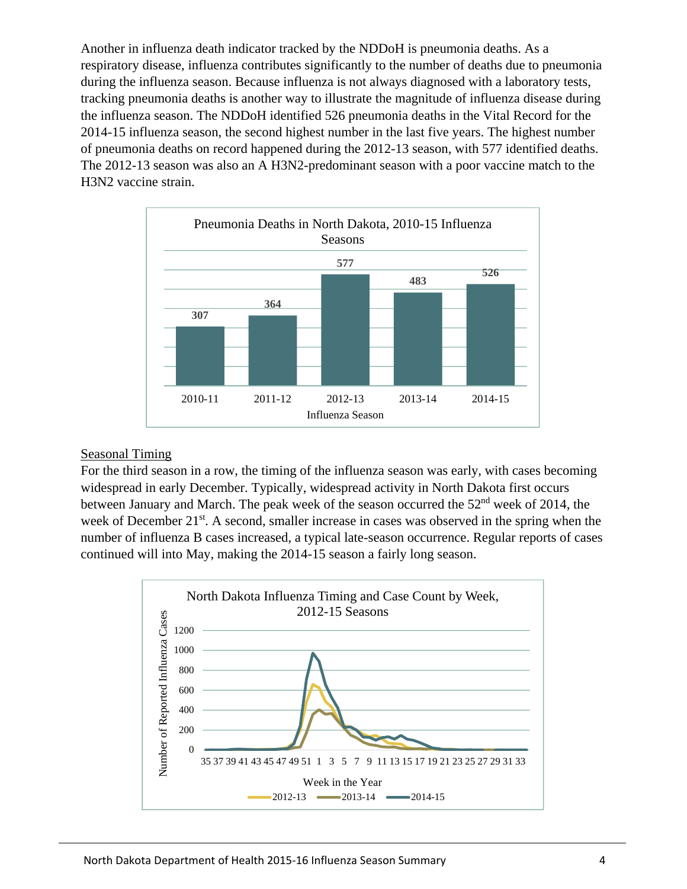Another in influenza death indicator tracked by the NDDoH is pneumonia deaths. As a respiratory disease, influenza contributes significantly to the number of deaths due to pneumonia during the influenza season. Because influenza is not always diagnosed with a laboratory tests, tracking pneumonia deaths is another way to illustrate the magnitude of influenza disease during the influenza season. The NDDoH identified 526 pneumonia deaths in the Vital Record for the 2014-15 influenza season, the second highest number in the last five years. The highest number of pneumonia deaths on record happened during the 2012-13 season, with 577 identified deaths. The 2012-13 season was also an A H3N2-predominant season with a poor vaccine match to the H3N2 vaccine strain.



#### Seasonal Timing

For the third season in a row, the timing of the influenza season was early, with cases becoming widespread in early December. Typically, widespread activity in North Dakota first occurs between January and March. The peak week of the season occurred the  $52<sup>nd</sup>$  week of 2014, the week of December 21<sup>st</sup>. A second, smaller increase in cases was observed in the spring when the number of influenza B cases increased, a typical late-season occurrence. Regular reports of cases continued will into May, making the 2014-15 season a fairly long season.

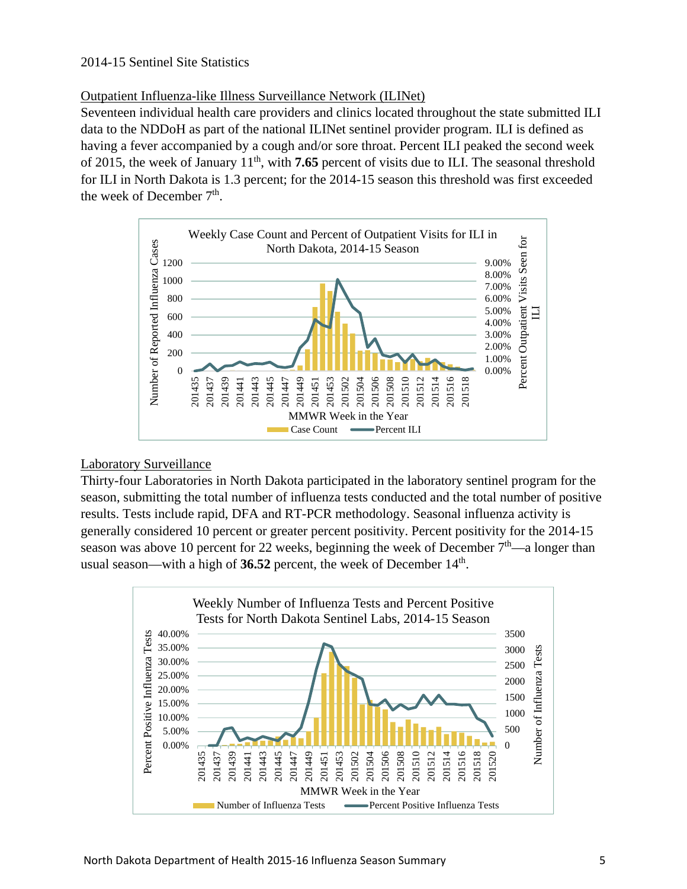## Outpatient Influenza-like Illness Surveillance Network (ILINet)

Seventeen individual health care providers and clinics located throughout the state submitted ILI data to the NDDoH as part of the national ILINet sentinel provider program. ILI is defined as having a fever accompanied by a cough and/or sore throat. Percent ILI peaked the second week of 2015, the week of January 11th, with **7.65** percent of visits due to ILI. The seasonal threshold for ILI in North Dakota is 1.3 percent; for the 2014-15 season this threshold was first exceeded the week of December  $7<sup>th</sup>$ .



#### Laboratory Surveillance

Thirty-four Laboratories in North Dakota participated in the laboratory sentinel program for the season, submitting the total number of influenza tests conducted and the total number of positive results. Tests include rapid, DFA and RT-PCR methodology. Seasonal influenza activity is generally considered 10 percent or greater percent positivity. Percent positivity for the 2014-15 season was above 10 percent for 22 weeks, beginning the week of December  $7<sup>th</sup>$ —a longer than usual season—with a high of **36.52** percent, the week of December 14<sup>th</sup>.

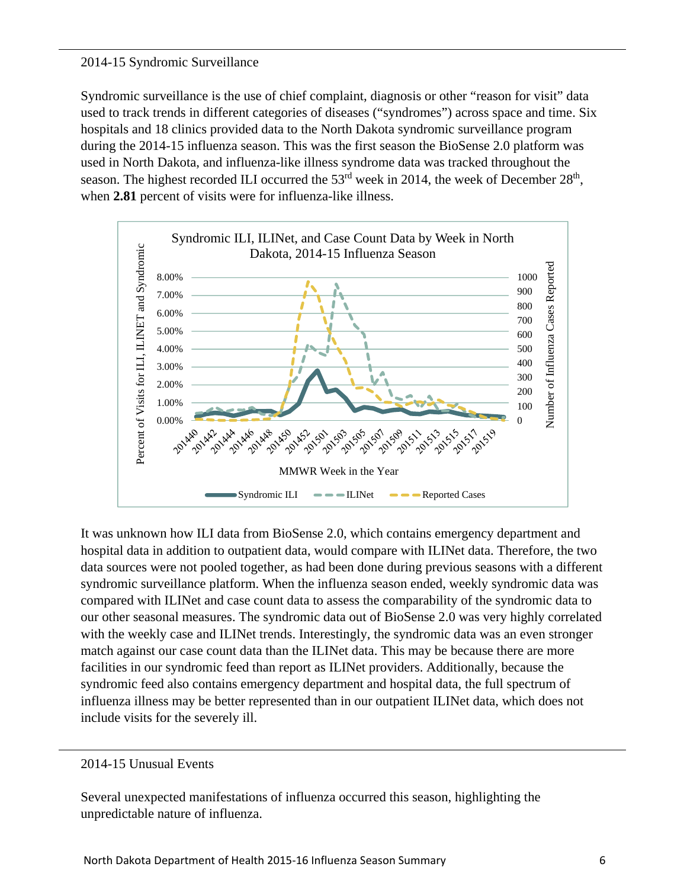#### 2014-15 Syndromic Surveillance

Syndromic surveillance is the use of chief complaint, diagnosis or other "reason for visit" data used to track trends in different categories of diseases ("syndromes") across space and time. Six hospitals and 18 clinics provided data to the North Dakota syndromic surveillance program during the 2014-15 influenza season. This was the first season the BioSense 2.0 platform was used in North Dakota, and influenza-like illness syndrome data was tracked throughout the season. The highest recorded ILI occurred the  $53<sup>rd</sup>$  week in 2014, the week of December  $28<sup>th</sup>$ , when **2.81** percent of visits were for influenza-like illness.



It was unknown how ILI data from BioSense 2.0, which contains emergency department and hospital data in addition to outpatient data, would compare with ILINet data. Therefore, the two data sources were not pooled together, as had been done during previous seasons with a different syndromic surveillance platform. When the influenza season ended, weekly syndromic data was compared with ILINet and case count data to assess the comparability of the syndromic data to our other seasonal measures. The syndromic data out of BioSense 2.0 was very highly correlated with the weekly case and ILINet trends. Interestingly, the syndromic data was an even stronger match against our case count data than the ILINet data. This may be because there are more facilities in our syndromic feed than report as ILINet providers. Additionally, because the syndromic feed also contains emergency department and hospital data, the full spectrum of influenza illness may be better represented than in our outpatient ILINet data, which does not include visits for the severely ill.

#### 2014-15 Unusual Events

Several unexpected manifestations of influenza occurred this season, highlighting the unpredictable nature of influenza.